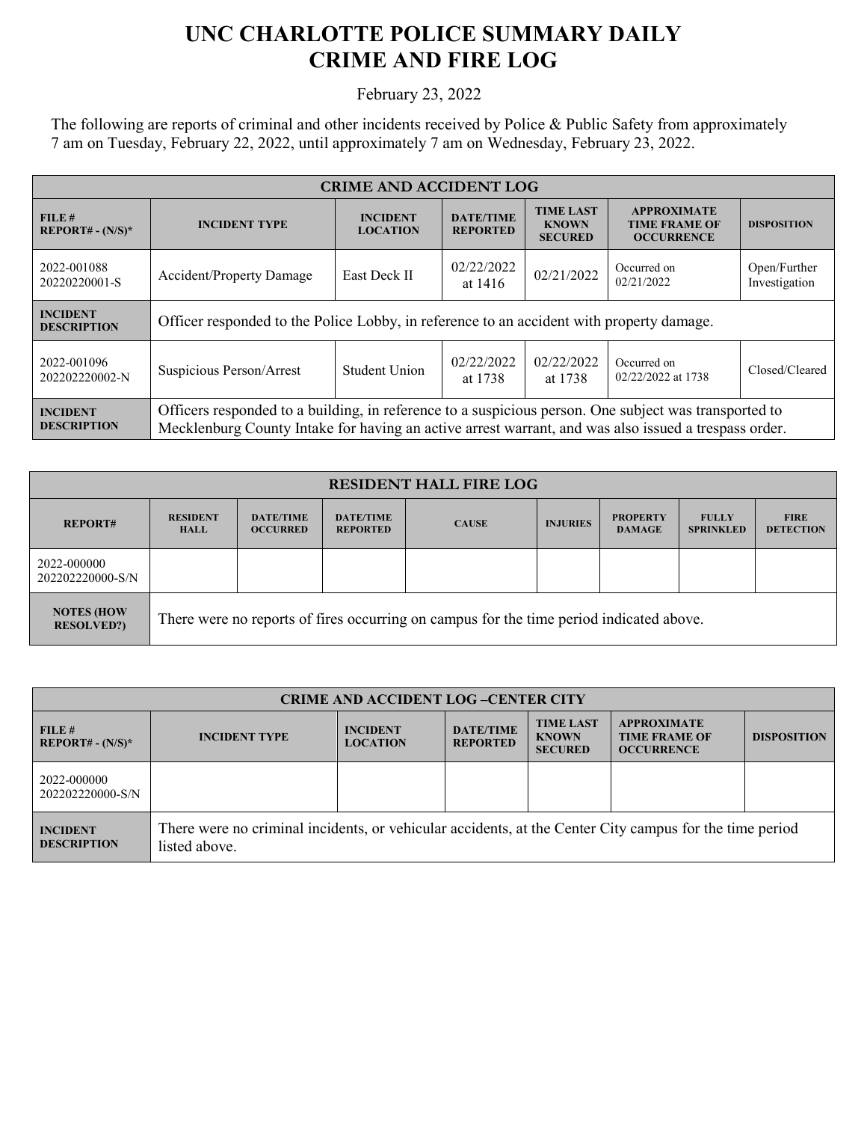## **UNC CHARLOTTE POLICE SUMMARY DAILY CRIME AND FIRE LOG**

February 23, 2022

The following are reports of criminal and other incidents received by Police & Public Safety from approximately 7 am on Tuesday, February 22, 2022, until approximately 7 am on Wednesday, February 23, 2022.

| <b>CRIME AND ACCIDENT LOG</b>         |                                                                                                                                                                                                               |                                    |                                     |                                                    |                                                                 |                               |  |
|---------------------------------------|---------------------------------------------------------------------------------------------------------------------------------------------------------------------------------------------------------------|------------------------------------|-------------------------------------|----------------------------------------------------|-----------------------------------------------------------------|-------------------------------|--|
| FILE#<br>$REPORT# - (N/S)*$           | <b>INCIDENT TYPE</b>                                                                                                                                                                                          | <b>INCIDENT</b><br><b>LOCATION</b> | <b>DATE/TIME</b><br><b>REPORTED</b> | <b>TIME LAST</b><br><b>KNOWN</b><br><b>SECURED</b> | <b>APPROXIMATE</b><br><b>TIME FRAME OF</b><br><b>OCCURRENCE</b> | <b>DISPOSITION</b>            |  |
| 2022-001088<br>20220220001-S          | <b>Accident/Property Damage</b>                                                                                                                                                                               | East Deck II                       | 02/22/2022<br>at 1416               | 02/21/2022                                         | Occurred on<br>02/21/2022                                       | Open/Further<br>Investigation |  |
| <b>INCIDENT</b><br><b>DESCRIPTION</b> | Officer responded to the Police Lobby, in reference to an accident with property damage.                                                                                                                      |                                    |                                     |                                                    |                                                                 |                               |  |
| 2022-001096<br>202202220002-N         | Suspicious Person/Arrest                                                                                                                                                                                      | <b>Student Union</b>               | 02/22/2022<br>at 1738               | 02/22/2022<br>at 1738                              | Occurred on<br>02/22/2022 at 1738                               | Closed/Cleared                |  |
| <b>INCIDENT</b><br><b>DESCRIPTION</b> | Officers responded to a building, in reference to a suspicious person. One subject was transported to<br>Mecklenburg County Intake for having an active arrest warrant, and was also issued a trespass order. |                                    |                                     |                                                    |                                                                 |                               |  |

| <b>RESIDENT HALL FIRE LOG</b>           |                                                                                         |                                     |                                     |              |                 |                                  |                                  |                                 |
|-----------------------------------------|-----------------------------------------------------------------------------------------|-------------------------------------|-------------------------------------|--------------|-----------------|----------------------------------|----------------------------------|---------------------------------|
| <b>REPORT#</b>                          | <b>RESIDENT</b><br><b>HALL</b>                                                          | <b>DATE/TIME</b><br><b>OCCURRED</b> | <b>DATE/TIME</b><br><b>REPORTED</b> | <b>CAUSE</b> | <b>INJURIES</b> | <b>PROPERTY</b><br><b>DAMAGE</b> | <b>FULLY</b><br><b>SPRINKLED</b> | <b>FIRE</b><br><b>DETECTION</b> |
| 2022-000000<br>202202220000-S/N         |                                                                                         |                                     |                                     |              |                 |                                  |                                  |                                 |
| <b>NOTES (HOW)</b><br><b>RESOLVED?)</b> | There were no reports of fires occurring on campus for the time period indicated above. |                                     |                                     |              |                 |                                  |                                  |                                 |

| <b>CRIME AND ACCIDENT LOG-CENTER CITY</b> |                                                                                                                          |                                    |                                     |                                                    |                                                                 |                    |  |
|-------------------------------------------|--------------------------------------------------------------------------------------------------------------------------|------------------------------------|-------------------------------------|----------------------------------------------------|-----------------------------------------------------------------|--------------------|--|
| FILE H<br>$REPORT# - (N/S)*$              | <b>INCIDENT TYPE</b>                                                                                                     | <b>INCIDENT</b><br><b>LOCATION</b> | <b>DATE/TIME</b><br><b>REPORTED</b> | <b>TIME LAST</b><br><b>KNOWN</b><br><b>SECURED</b> | <b>APPROXIMATE</b><br><b>TIME FRAME OF</b><br><b>OCCURRENCE</b> | <b>DISPOSITION</b> |  |
| 2022-000000<br>202202220000-S/N           |                                                                                                                          |                                    |                                     |                                                    |                                                                 |                    |  |
| <b>INCIDENT</b><br><b>DESCRIPTION</b>     | There were no criminal incidents, or vehicular accidents, at the Center City campus for the time period<br>listed above. |                                    |                                     |                                                    |                                                                 |                    |  |